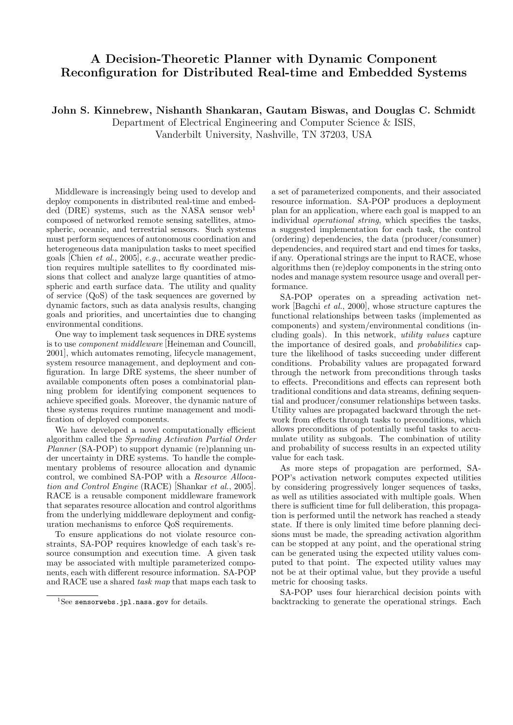## A Decision-Theoretic Planner with Dynamic Component Reconfiguration for Distributed Real-time and Embedded Systems

John S. Kinnebrew, Nishanth Shankaran, Gautam Biswas, and Douglas C. Schmidt

Department of Electrical Engineering and Computer Science & ISIS,

Vanderbilt University, Nashville, TN 37203, USA

Middleware is increasingly being used to develop and deploy components in distributed real-time and embedded (DRE) systems, such as the NASA sensor  $web<sup>1</sup>$ composed of networked remote sensing satellites, atmospheric, oceanic, and terrestrial sensors. Such systems must perform sequences of autonomous coordination and heterogeneous data manipulation tasks to meet specified goals [Chien et al., 2005], e.g., accurate weather prediction requires multiple satellites to fly coordinated missions that collect and analyze large quantities of atmospheric and earth surface data. The utility and quality of service (QoS) of the task sequences are governed by dynamic factors, such as data analysis results, changing goals and priorities, and uncertainties due to changing environmental conditions.

One way to implement task sequences in DRE systems is to use component middleware [Heineman and Councill, 2001], which automates remoting, lifecycle management, system resource management, and deployment and configuration. In large DRE systems, the sheer number of available components often poses a combinatorial planning problem for identifying component sequences to achieve specified goals. Moreover, the dynamic nature of these systems requires runtime management and modification of deployed components.

We have developed a novel computationally efficient algorithm called the Spreading Activation Partial Order Planner (SA-POP) to support dynamic (re)planning under uncertainty in DRE systems. To handle the complementary problems of resource allocation and dynamic control, we combined SA-POP with a Resource Allocation and Control Engine (RACE) [Shankar et al., 2005]. RACE is a reusable component middleware framework that separates resource allocation and control algorithms from the underlying middleware deployment and configuration mechanisms to enforce QoS requirements.

To ensure applications do not violate resource constraints, SA-POP requires knowledge of each task's resource consumption and execution time. A given task may be associated with multiple parameterized components, each with different resource information. SA-POP and RACE use a shared task map that maps each task to a set of parameterized components, and their associated resource information. SA-POP produces a deployment plan for an application, where each goal is mapped to an individual operational string, which specifies the tasks, a suggested implementation for each task, the control (ordering) dependencies, the data (producer/consumer) dependencies, and required start and end times for tasks, if any. Operational strings are the input to RACE, whose algorithms then (re)deploy components in the string onto nodes and manage system resource usage and overall performance.

SA-POP operates on a spreading activation network [Bagchi *et al.*, 2000], whose structure captures the functional relationships between tasks (implemented as components) and system/environmental conditions (including goals). In this network, utility values capture the importance of desired goals, and probabilities capture the likelihood of tasks succeeding under different conditions. Probability values are propagated forward through the network from preconditions through tasks to effects. Preconditions and effects can represent both traditional conditions and data streams, defining sequential and producer/consumer relationships between tasks. Utility values are propagated backward through the network from effects through tasks to preconditions, which allows preconditions of potentially useful tasks to accumulate utility as subgoals. The combination of utility and probability of success results in an expected utility value for each task.

As more steps of propagation are performed, SA-POP's activation network computes expected utilities by considering progressively longer sequences of tasks, as well as utilities associated with multiple goals. When there is sufficient time for full deliberation, this propagation is performed until the network has reached a steady state. If there is only limited time before planning decisions must be made, the spreading activation algorithm can be stopped at any point, and the operational string can be generated using the expected utility values computed to that point. The expected utility values may not be at their optimal value, but they provide a useful metric for choosing tasks.

SA-POP uses four hierarchical decision points with backtracking to generate the operational strings. Each

 ${}^{1}$ See sensorwebs.jpl.nasa.gov for details.